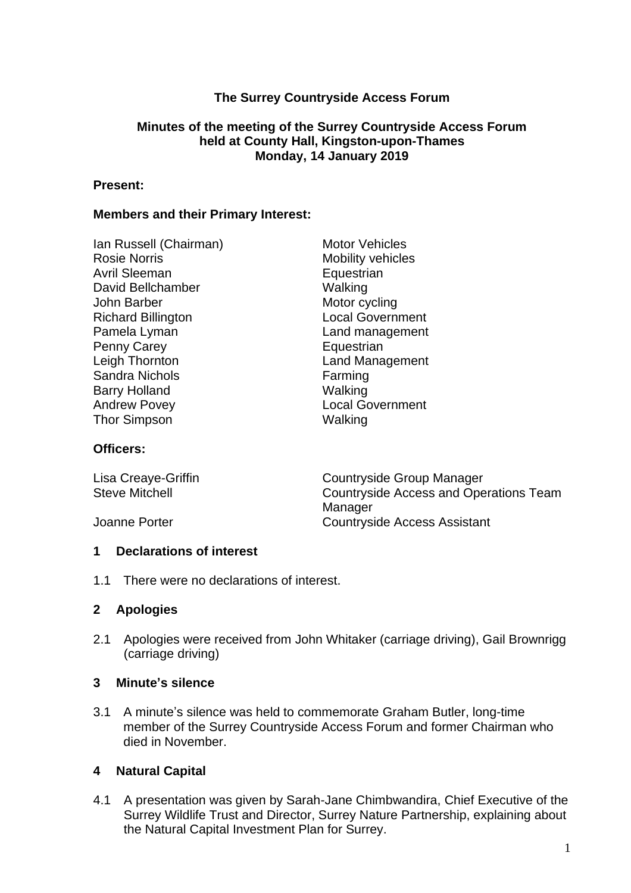# **The Surrey Countryside Access Forum**

### **Minutes of the meeting of the Surrey Countryside Access Forum held at County Hall, Kingston-upon-Thames Monday, 14 January 2019**

#### **Present:**

### **Members and their Primary Interest:**

Ian Russell (Chairman) Motor Vehicles Rosie Norris Mobility vehicles Avril Sleeman David Bellchamber Walking John Barber Motor cycling Richard Billington **Local Government** Pamela Lyman Land management Penny Carey **Equestrian** Leigh Thornton **Land Management** Sandra Nichols **Farming** Barry Holland Walking Andrew Povey **Local Government** Thor Simpson Walking

#### **Officers:**

| Lisa Creaye-Griffin   | Countryside Group Manager              |
|-----------------------|----------------------------------------|
| <b>Steve Mitchell</b> | Countryside Access and Operations Team |
|                       | Manager                                |
| Joanne Porter         | <b>Countryside Access Assistant</b>    |

### **1 Declarations of interest**

1.1 There were no declarations of interest.

### **2 Apologies**

2.1 Apologies were received from John Whitaker (carriage driving), Gail Brownrigg (carriage driving)

### **3 Minute's silence**

3.1 A minute's silence was held to commemorate Graham Butler, long-time member of the Surrey Countryside Access Forum and former Chairman who died in November.

### **4 Natural Capital**

4.1 A presentation was given by Sarah-Jane Chimbwandira, Chief Executive of the Surrey Wildlife Trust and Director, Surrey Nature Partnership, explaining about the Natural Capital Investment Plan for Surrey.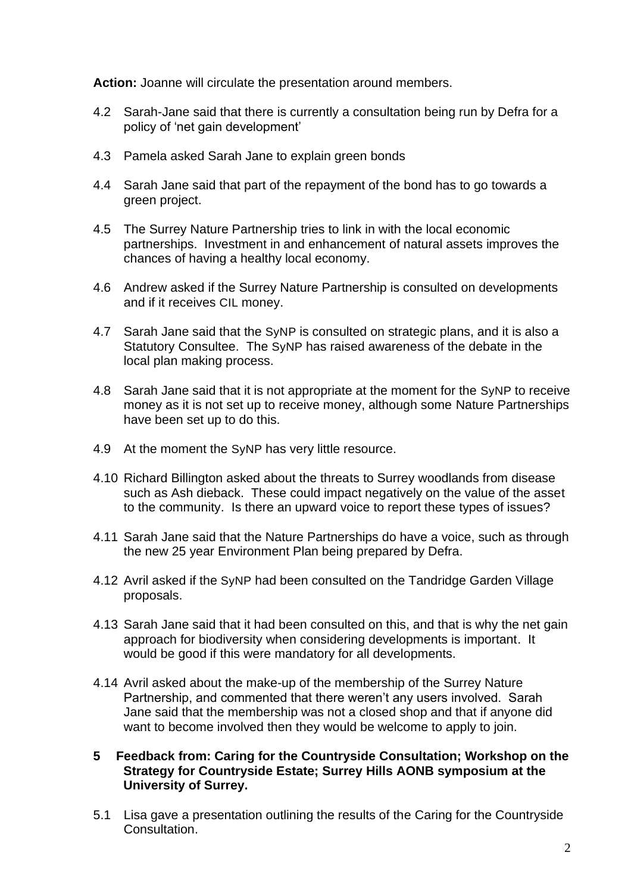**Action:** Joanne will circulate the presentation around members.

- 4.2 Sarah-Jane said that there is currently a consultation being run by Defra for a policy of 'net gain development'
- 4.3 Pamela asked Sarah Jane to explain green bonds
- 4.4 Sarah Jane said that part of the repayment of the bond has to go towards a green project.
- 4.5 The Surrey Nature Partnership tries to link in with the local economic partnerships. Investment in and enhancement of natural assets improves the chances of having a healthy local economy.
- 4.6 Andrew asked if the Surrey Nature Partnership is consulted on developments and if it receives CIL money.
- 4.7 Sarah Jane said that the SyNP is consulted on strategic plans, and it is also a Statutory Consultee. The SyNP has raised awareness of the debate in the local plan making process.
- 4.8 Sarah Jane said that it is not appropriate at the moment for the SyNP to receive money as it is not set up to receive money, although some Nature Partnerships have been set up to do this.
- 4.9 At the moment the SyNP has very little resource.
- 4.10 Richard Billington asked about the threats to Surrey woodlands from disease such as Ash dieback. These could impact negatively on the value of the asset to the community. Is there an upward voice to report these types of issues?
- 4.11 Sarah Jane said that the Nature Partnerships do have a voice, such as through the new 25 year Environment Plan being prepared by Defra.
- 4.12 Avril asked if the SyNP had been consulted on the Tandridge Garden Village proposals.
- 4.13 Sarah Jane said that it had been consulted on this, and that is why the net gain approach for biodiversity when considering developments is important. It would be good if this were mandatory for all developments.
- 4.14 Avril asked about the make-up of the membership of the Surrey Nature Partnership, and commented that there weren't any users involved. Sarah Jane said that the membership was not a closed shop and that if anyone did want to become involved then they would be welcome to apply to join.
- **5 Feedback from: Caring for the Countryside Consultation; Workshop on the Strategy for Countryside Estate; Surrey Hills AONB symposium at the University of Surrey.**
- 5.1 Lisa gave a presentation outlining the results of the Caring for the Countryside Consultation.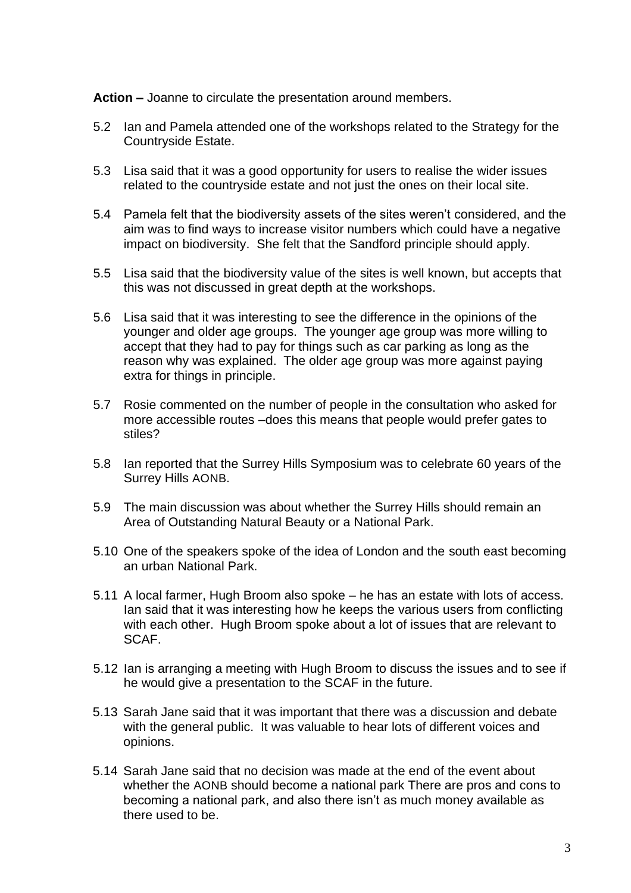**Action –** Joanne to circulate the presentation around members.

- 5.2 Ian and Pamela attended one of the workshops related to the Strategy for the Countryside Estate.
- 5.3 Lisa said that it was a good opportunity for users to realise the wider issues related to the countryside estate and not just the ones on their local site.
- 5.4 Pamela felt that the biodiversity assets of the sites weren't considered, and the aim was to find ways to increase visitor numbers which could have a negative impact on biodiversity. She felt that the Sandford principle should apply.
- 5.5 Lisa said that the biodiversity value of the sites is well known, but accepts that this was not discussed in great depth at the workshops.
- 5.6 Lisa said that it was interesting to see the difference in the opinions of the younger and older age groups. The younger age group was more willing to accept that they had to pay for things such as car parking as long as the reason why was explained. The older age group was more against paying extra for things in principle.
- 5.7 Rosie commented on the number of people in the consultation who asked for more accessible routes –does this means that people would prefer gates to stiles?
- 5.8 Ian reported that the Surrey Hills Symposium was to celebrate 60 years of the Surrey Hills AONB.
- 5.9 The main discussion was about whether the Surrey Hills should remain an Area of Outstanding Natural Beauty or a National Park.
- 5.10 One of the speakers spoke of the idea of London and the south east becoming an urban National Park.
- 5.11 A local farmer, Hugh Broom also spoke he has an estate with lots of access. Ian said that it was interesting how he keeps the various users from conflicting with each other. Hugh Broom spoke about a lot of issues that are relevant to SCAF.
- 5.12 Ian is arranging a meeting with Hugh Broom to discuss the issues and to see if he would give a presentation to the SCAF in the future.
- 5.13 Sarah Jane said that it was important that there was a discussion and debate with the general public. It was valuable to hear lots of different voices and opinions.
- 5.14 Sarah Jane said that no decision was made at the end of the event about whether the AONB should become a national park There are pros and cons to becoming a national park, and also there isn't as much money available as there used to be.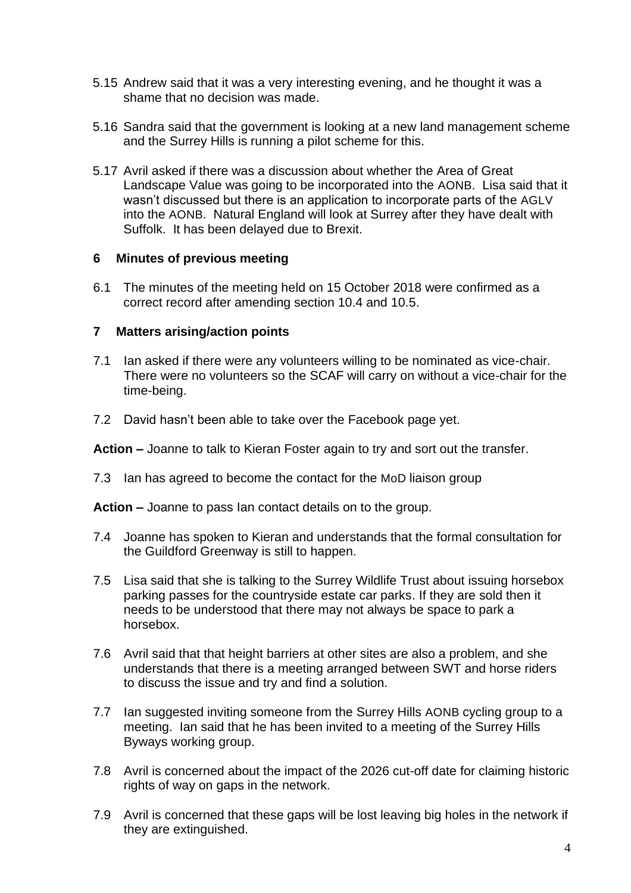- 5.15 Andrew said that it was a very interesting evening, and he thought it was a shame that no decision was made.
- 5.16 Sandra said that the government is looking at a new land management scheme and the Surrey Hills is running a pilot scheme for this.
- 5.17 Avril asked if there was a discussion about whether the Area of Great Landscape Value was going to be incorporated into the AONB. Lisa said that it wasn't discussed but there is an application to incorporate parts of the AGLV into the AONB. Natural England will look at Surrey after they have dealt with Suffolk. It has been delayed due to Brexit.

### **6 Minutes of previous meeting**

6.1 The minutes of the meeting held on 15 October 2018 were confirmed as a correct record after amending section 10.4 and 10.5.

## **7 Matters arising/action points**

- 7.1 Ian asked if there were any volunteers willing to be nominated as vice-chair. There were no volunteers so the SCAF will carry on without a vice-chair for the time-being.
- 7.2 David hasn't been able to take over the Facebook page yet.

**Action –** Joanne to talk to Kieran Foster again to try and sort out the transfer.

7.3 Ian has agreed to become the contact for the MoD liaison group

**Action –** Joanne to pass Ian contact details on to the group.

- 7.4 Joanne has spoken to Kieran and understands that the formal consultation for the Guildford Greenway is still to happen.
- 7.5 Lisa said that she is talking to the Surrey Wildlife Trust about issuing horsebox parking passes for the countryside estate car parks. If they are sold then it needs to be understood that there may not always be space to park a horsebox.
- 7.6 Avril said that that height barriers at other sites are also a problem, and she understands that there is a meeting arranged between SWT and horse riders to discuss the issue and try and find a solution.
- 7.7 Ian suggested inviting someone from the Surrey Hills AONB cycling group to a meeting. Ian said that he has been invited to a meeting of the Surrey Hills Byways working group.
- 7.8 Avril is concerned about the impact of the 2026 cut-off date for claiming historic rights of way on gaps in the network.
- 7.9 Avril is concerned that these gaps will be lost leaving big holes in the network if they are extinguished.